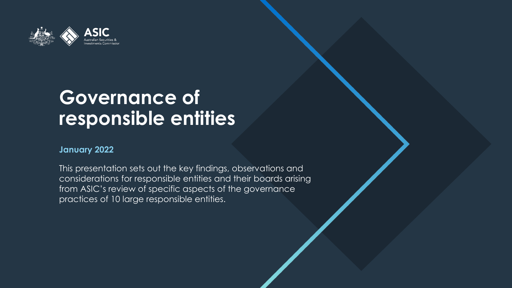

## **Governance of responsible entities**

### **January 2022**

This presentation sets out the key findings, observations and considerations for responsible entities and their boards arising from ASIC's review of specific aspects of the governance practices of 10 large responsible entities.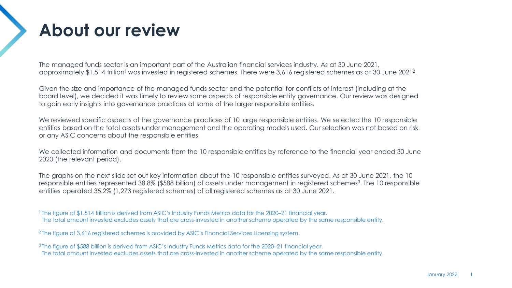## **About our review**

The managed funds sector is an important part of the Australian financial services industry. As at 30 June 2021, approximately \$1.514 trillion<sup>1</sup> was invested in registered schemes. There were 3,616 registered schemes as at 30 June 2021<sup>2</sup>.

Given the size and importance of the managed funds sector and the potential for conflicts of interest (including at the board level), we decided it was timely to review some aspects of responsible entity governance. Our review was designed to gain early insights into governance practices at some of the larger responsible entities.

We reviewed specific aspects of the governance practices of 10 large responsible entities. We selected the 10 responsible entities based on the total assets under management and the operating models used. Our selection was not based on risk or any ASIC concerns about the responsible entities.

We collected information and documents from the 10 responsible entities by reference to the financial year ended 30 June 2020 (the relevant period).

The graphs on the next slide set out key information about the 10 responsible entities surveyed. As at 30 June 2021, the 10 responsible entities represented 38.8% (\$588 billion) of assets under management in registered schemes<sup>3</sup>. The 10 responsible entities operated 35.2% (1,273 registered schemes) of all registered schemes as at 30 June 2021.

1 The figure of \$1.514 trillion is derived from ASIC's Industry Funds Metrics data for the 2020–21 financial year. The total amount invested excludes assets that are cross-invested in another scheme operated by the same responsible entity.

<sup>2</sup> The figure of 3,616 registered schemes is provided by ASIC's Financial Services Licensing system.

3 The figure of \$588 billion is derived from ASIC's Industry Funds Metrics data for the 2020–21 financial year. The total amount invested excludes assets that are cross-invested in another scheme operated by the same responsible entity.

**1**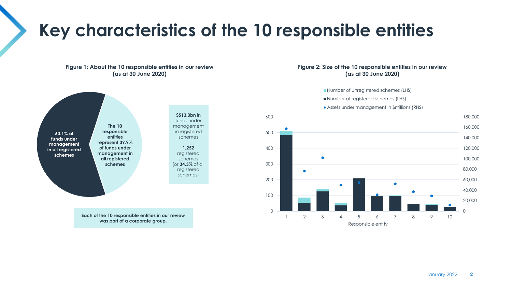## **Key characteristics of the 10 responsible entities**

#### **Figure 1: About the 10 responsible entities in our review (as at 30 June 2020)**



**Each of the 10 responsible entities in our review was part of a corporate group.**

### **Figure 2: Size of the 10 responsible entities in our review (as at 30 June 2020)**

Number of unregistered schemes (LHS)

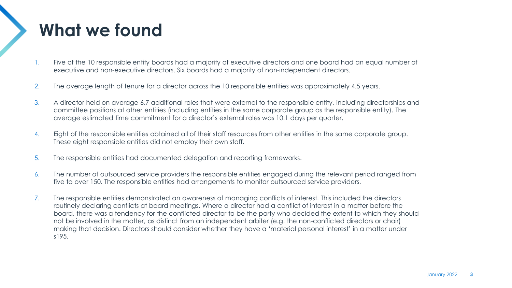## **What we found**

- 1. Five of the 10 responsible entity boards had a majority of executive directors and one board had an equal number of executive and non-executive directors. Six boards had a majority of non-independent directors.
- 2. The average length of tenure for a director across the 10 responsible entities was approximately 4.5 years.
- 3. A director held on average 6.7 additional roles that were external to the responsible entity, including directorships and committee positions at other entities (including entities in the same corporate group as the responsible entity). The average estimated time commitment for a director's external roles was 10.1 days per quarter.
- 4. Eight of the responsible entities obtained all of their staff resources from other entities in the same corporate group. These eight responsible entities did not employ their own staff.
- 5. The responsible entities had documented delegation and reporting frameworks.
- 6. The number of outsourced service providers the responsible entities engaged during the relevant period ranged from five to over 150. The responsible entities had arrangements to monitor outsourced service providers.
- 7. The responsible entities demonstrated an awareness of managing conflicts of interest. This included the directors routinely declaring conflicts at board meetings. Where a director had a conflict of interest in a matter before the board, there was a tendency for the conflicted director to be the party who decided the extent to which they should not be involved in the matter, as distinct from an independent arbiter (e.g. the non-conflicted directors or chair) making that decision. Directors should consider whether they have a 'material personal interest' in a matter under s195.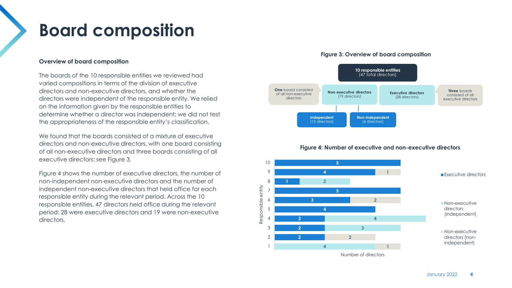## **Board composition**

#### **Overview of board composition**

The boards of the 10 responsible entities we reviewed had varied compositions in terms of the division of executive directors and non-executive directors, and whether the directors were independent of the responsible entity. We relied on the information given by the responsible entities to determine whether a director was independent; we did not test the appropriateness of the responsible entity's classification.

We found that the boards consisted of a mixture of executive directors and non-executive directors, with one board consisting of all non-executive directors and three boards consisting of all executive directors: see Figure 3.

Figure 4 shows the number of executive directors, the number of non-independent non-executive directors and the number of independent non-executive directors that held office for each responsible entity during the relevant period. Across the 10 responsible entities, 47 directors held office during the relevant period: 28 were executive directors and 19 were non-executive directors.

#### **Figure 3: Overview of board composition**



#### **Figure 4: Number of executive and non-executive directors**

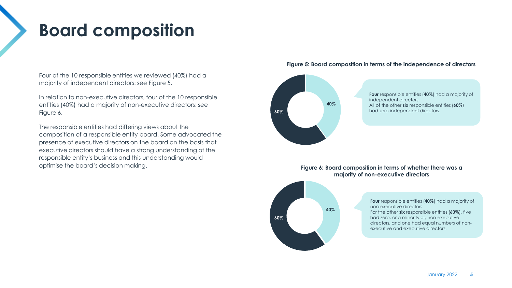## **Board composition**

Four of the 10 responsible entities we reviewed (40%) had a majority of independent directors: see Figure 5.

In relation to non-executive directors, four of the 10 responsible entities (40%) had a majority of non-executive directors: see Figure 6.

The responsible entities had differing views about the composition of a responsible entity board. Some advocated the presence of executive directors on the board on the basis that executive directors should have a strong understanding of the responsible entity's business and this understanding would optimise the board's decision making.

### **Figure 5: Board composition in terms of the independence of directors**



#### **Figure 6: Board composition in terms of whether there was a majority of non-executive directors**

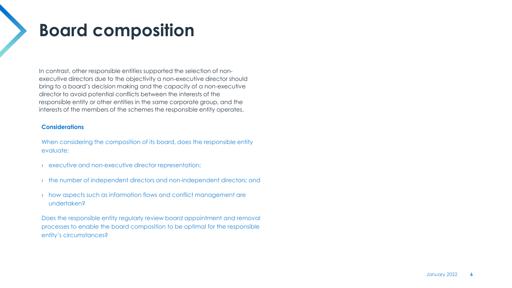## **Board composition**

In contrast, other responsible entities supported the selection of nonexecutive directors due to the objectivity a non-executive director should bring to a board's decision making and the capacity of a non-executive director to avoid potential conflicts between the interests of the responsible entity or other entities in the same corporate group, and the interests of the members of the schemes the responsible entity operates.

### **Considerations**

When considering the composition of its board, does the responsible entity evaluate:

- › executive and non-executive director representation;
- › the number of independent directors and non-independent directors; and
- › how aspects such as information flows and conflict management are undertaken?

Does the responsible entity regularly review board appointment and removal processes to enable the board composition to be optimal for the responsible entity's circumstances?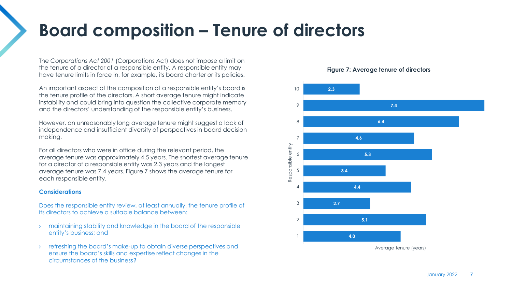## **Board composition – Tenure of directors**

The *Corporations Act 2001* (Corporations Act) does not impose a limit on the tenure of a director of a responsible entity. A responsible entity may have tenure limits in force in, for example, its board charter or its policies.

An important aspect of the composition of a responsible entity's board is the tenure profile of the directors. A short average tenure might indicate instability and could bring into question the collective corporate memory and the directors' understanding of the responsible entity's business.

However, an unreasonably long average tenure might suggest a lack of independence and insufficient diversity of perspectives in board decision making.

For all directors who were in office during the relevant period, the average tenure was approximately 4.5 years. The shortest average tenure for a director of a responsible entity was 2.3 years and the longest average tenure was 7.4 years. Figure 7 shows the average tenure for each responsible entity.

#### **Considerations**

Does the responsible entity review, at least annually, the tenure profile of its directors to achieve a suitable balance between:

- › maintaining stability and knowledge in the board of the responsible entity's business; and
- refreshing the board's make-up to obtain diverse perspectives and ensure the board's skills and expertise reflect changes in the circumstances of the business?



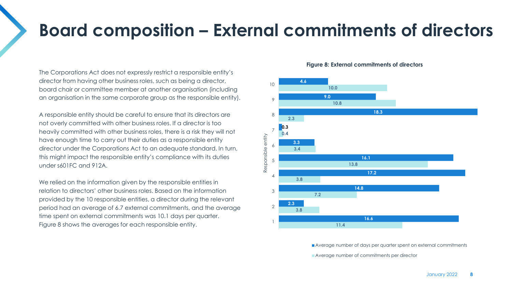## **Board composition – External commitments of directors**

The Corporations Act does not expressly restrict a responsible entity's director from having other business roles, such as being a director, board chair or committee member at another organisation (including an organisation in the same corporate group as the responsible entity).

A responsible entity should be careful to ensure that its directors are not overly committed with other business roles. If a director is too heavily committed with other business roles, there is a risk they will not have enough time to carry out their duties as a responsible entity director under the Corporations Act to an adequate standard. In turn, this might impact the responsible entity's compliance with its duties under s601FC and 912A.

We relied on the information given by the responsible entities in relation to directors' other business roles. Based on the information provided by the 10 responsible entities, a director during the relevant period had an average of 6.7 external commitments, and the average time spent on external commitments was 10.1 days per quarter. Figure 8 shows the averages for each responsible entity.

#### **Figure 8: External commitments of directors**



Average number of days per quarter spent on external commitments Average number of commitments per director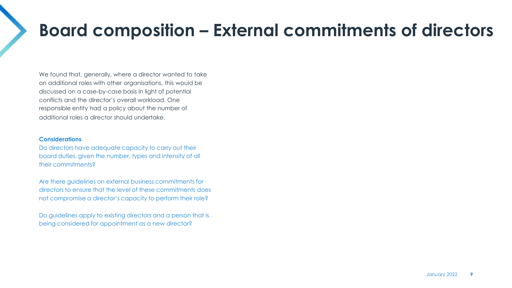## **Board composition – External commitments of directors**

We found that, generally, where a director wanted to take on additional roles with other organisations, this would be discussed on a case-by-case basis in light of potential conflicts and the director's overall workload. One responsible entity had a policy about the number of additional roles a director should undertake.

#### **Considerations**

Do directors have adequate capacity to carry out their board duties, given the number, types and intensity of all their commitments?

Are there guidelines on external business commitments for directors to ensure that the level of these commitments does not compromise a director's capacity to perform their role?

Do guidelines apply to existing directors and a person that is being considered for appointment as a new director?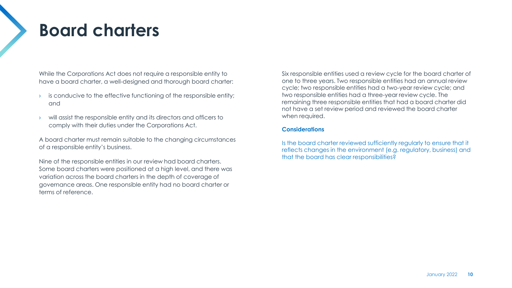### **Board charters**

While the Corporations Act does not require a responsible entity to have a board charter, a well-designed and thorough board charter:

- is conducive to the effective functioning of the responsible entity; and
- › will assist the responsible entity and its directors and officers to comply with their duties under the Corporations Act.

A board charter must remain suitable to the changing circumstances of a responsible entity's business.

Nine of the responsible entities in our review had board charters. Some board charters were positioned at a high level, and there was variation across the board charters in the depth of coverage of governance areas. One responsible entity had no board charter or terms of reference.

Six responsible entities used a review cycle for the board charter of one to three years. Two responsible entities had an annual review cycle; two responsible entities had a two-year review cycle; and two responsible entities had a three-year review cycle. The remaining three responsible entities that had a board charter did not have a set review period and reviewed the board charter when required.

### **Considerations**

Is the board charter reviewed sufficiently regularly to ensure that it reflects changes in the environment (e.g. regulatory, business) and that the board has clear responsibilities?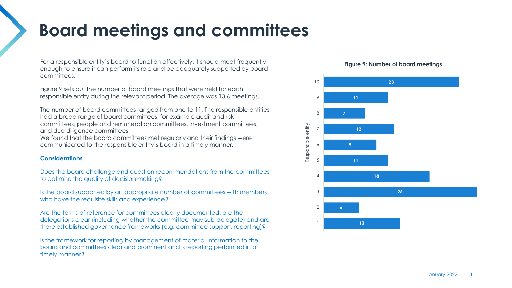## **Board meetings and committees**

For a responsible entity's board to function effectively, it should meet frequently enough to ensure it can perform its role and be adequately supported by board committees.

Figure 9 sets out the number of board meetings that were held for each responsible entity during the relevant period. The average was 13.6 meetings.

The number of board committees ranged from one to 11. The responsible entities had a broad range of board committees, for example audit and risk committees, people and remuneration committees, investment committees, and due diligence committees.

We found that the board committees met regularly and their findings were communicated to the responsible entity's board in a timely manner.

### **Considerations**

Does the board challenge and question recommendations from the committees to optimise the quality of decision making?

Is the board supported by an appropriate number of committees with members who have the requisite skills and experience?

Are the terms of reference for committees clearly documented, are the delegations clear (including whether the committee may sub-delegate) and are there established governance frameworks (e.g. committee support, reporting)?

Is the framework for reporting by management of material information to the board and committees clear and prominent and is reporting performed in a timely manner?

### **Figure 9: Number of board meetings**

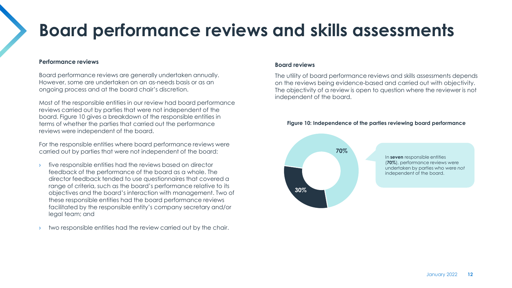## **Board performance reviews and skills assessments**

### **Performance reviews**

Board performance reviews are generally undertaken annually. However, some are undertaken on an as-needs basis or as an ongoing process and at the board chair's discretion.

Most of the responsible entities in our review had board performance reviews carried out by parties that were not independent of the board. Figure 10 gives a breakdown of the responsible entities in terms of whether the parties that carried out the performance reviews were independent of the board.

For the responsible entities where board performance reviews were carried out by parties that were not independent of the board:

- five responsible entities had the reviews based on director feedback of the performance of the board as a whole. The director feedback tended to use questionnaires that covered a range of criteria, such as the board's performance relative to its objectives and the board's interaction with management. Two of these responsible entities had the board performance reviews facilitated by the responsible entity's company secretary and/or legal team; and
- two responsible entities had the review carried out by the chair.

#### **Board reviews**

The utility of board performance reviews and skills assessments depends on the reviews being evidence-based and carried out with objectivity. The objectivity of a review is open to question where the reviewer is not independent of the board.



#### **Figure 10: Independence of the parties reviewing board performance**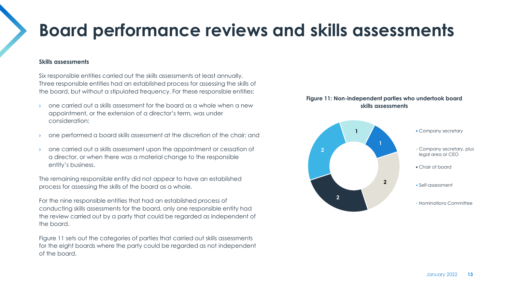## **Board performance reviews and skills assessments**

#### **Skills assessments**

Six responsible entities carried out the skills assessments at least annually. Three responsible entities had an established process for assessing the skills of the board, but without a stipulated frequency. For these responsible entities:

- › one carried out a skills assessment for the board as a whole when a new appointment, or the extension of a director's term, was under consideration;
- › one performed a board skills assessment at the discretion of the chair; and
- › one carried out a skills assessment upon the appointment or cessation of a director, or when there was a material change to the responsible entity's business.

The remaining responsible entity did not appear to have an established process for assessing the skills of the board as a whole.

For the nine responsible entities that had an established process of conducting skills assessments for the board, only one responsible entity had the review carried out by a party that could be regarded as independent of the board.

Figure 11 sets out the categories of parties that carried out skills assessments for the eight boards where the party could be regarded as not independent of the board.

### **Figure 11: Non-independent parties who undertook board skills assessments**

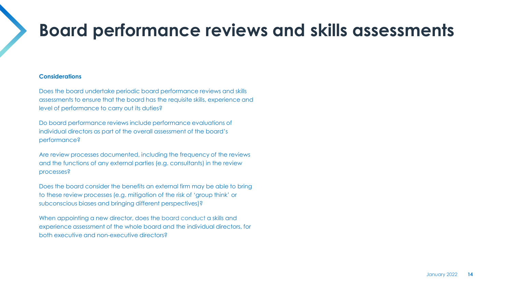## **Board performance reviews and skills assessments**

### **Considerations**

Does the board undertake periodic board performance reviews and skills assessments to ensure that the board has the requisite skills, experience and level of performance to carry out its duties?

Do board performance reviews include performance evaluations of individual directors as part of the overall assessment of the board's performance?

Are review processes documented, including the frequency of the reviews and the functions of any external parties (e.g. consultants) in the review processes?

Does the board consider the benefits an external firm may be able to bring to these review processes (e.g. mitigation of the risk of 'group think' or subconscious biases and bringing different perspectives)?

When appointing a new director, does the board conduct a skills and experience assessment of the whole board and the individual directors, for both executive and non-executive directors?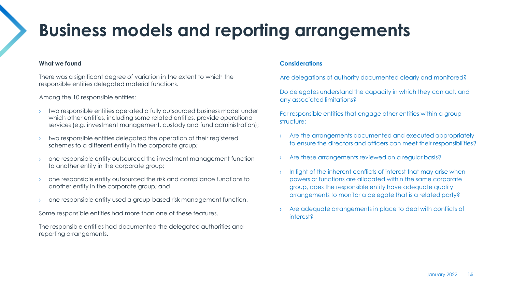## **Business models and reporting arrangements**

#### **What we found**

There was a significant degree of variation in the extent to which the responsible entities delegated material functions.

Among the 10 responsible entities:

- two responsible entities operated a fully outsourced business model under which other entities, including some related entities, provide operational services (e.g. investment management, custody and fund administration);
- two responsible entities delegated the operation of their registered schemes to a different entity in the corporate group;
- › one responsible entity outsourced the investment management function to another entity in the corporate group;
- › one responsible entity outsourced the risk and compliance functions to another entity in the corporate group; and
- › one responsible entity used a group-based risk management function.

Some responsible entities had more than one of these features.

The responsible entities had documented the delegated authorities and reporting arrangements.

### **Considerations**

Are delegations of authority documented clearly and monitored?

Do delegates understand the capacity in which they can act, and any associated limitations?

For responsible entities that engage other entities within a group structure:

- › Are the arrangements documented and executed appropriately to ensure the directors and officers can meet their responsibilities?
- Are these arrangements reviewed on a regular basis?
- In light of the inherent conflicts of interest that may arise when powers or functions are allocated within the same corporate group, does the responsible entity have adequate quality arrangements to monitor a delegate that is a related party?
- › Are adequate arrangements in place to deal with conflicts of interest?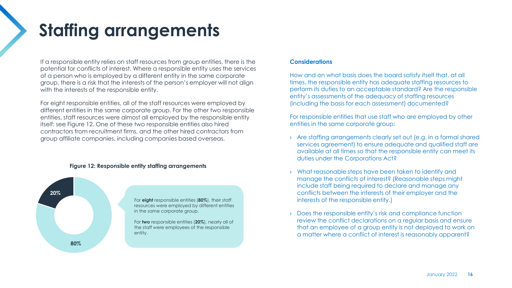## **Staffing arrangements**

If a responsible entity relies on staff resources from group entities, there is the potential for conflicts of interest. Where a responsible entity uses the services of a person who is employed by a different entity in the same corporate group, there is a risk that the interests of the person's employer will not align with the interests of the responsible entity.

For eight responsible entities, all of the staff resources were employed by different entities in the same corporate group. For the other two responsible entities, staff resources were almost all employed by the responsible entity itself: see Figure 12. One of these two responsible entities also hired contractors from recruitment firms, and the other hired contractors from group affiliate companies, including companies based overseas.



**80%**

**Figure 12: Responsible entity staffing arrangements**

For **eight** responsible entities (**80%**), their staff resources were employed by different entities in the same corporate group.

For **two** responsible entities (**20%**), nearly all of the staff were employees of the responsible entity.

#### **Considerations**

How and on what basis does the board satisfy itself that, at all times, the responsible entity has adequate staffing resources to perform its duties to an acceptable standard? Are the responsible entity's assessments of the adequacy of staffing resources (including the basis for each assessment) documented?

For responsible entities that use staff who are employed by other entities in the same corporate group:

- › Are staffing arrangements clearly set out (e.g. in a formal shared services agreement) to ensure adequate and qualified staff are available at all times so that the responsible entity can meet its duties under the Corporations Act?
- › What reasonable steps have been taken to identify and manage the conflicts of interest? (Reasonable steps might include staff being required to declare and manage any conflicts between the interests of their employer and the interests of the responsible entity.)
- › Does the responsible entity's risk and compliance function review the conflict declarations on a regular basis and ensure that an employee of a group entity is not deployed to work on a matter where a conflict of interest is reasonably apparent?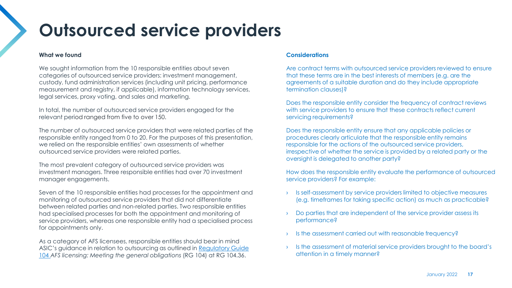## **Outsourced service providers**

#### **What we found**

We sought information from the 10 responsible entities about seven categories of outsourced service providers: investment management, custody, fund administration services (including unit pricing, performance measurement and registry, if applicable), information technology services, legal services, proxy voting, and sales and marketing.

In total, the number of outsourced service providers engaged for the relevant period ranged from five to over 150.

The number of outsourced service providers that were related parties of the responsible entity ranged from 0 to 20. For the purposes of this presentation, we relied on the responsible entities' own assessments of whether outsourced service providers were related parties.

The most prevalent category of outsourced service providers was investment managers. Three responsible entities had over 70 investment manager engagements.

Seven of the 10 responsible entities had processes for the appointment and monitoring of outsourced service providers that did not differentiate between related parties and non-related parties. Two responsible entities had specialised processes for both the appointment and monitoring of service providers, whereas one responsible entity had a specialised process for appointments only.

As a category of AFS licensees, responsible entities should bear in mind [ASIC's guidance in relation to outsourcing as outlined in Regulatory Guide](https://asic.gov.au/regulatory-resources/find-a-document/regulatory-guides/rg-104-afs-licensing-meeting-the-general-obligations/)  104 *AFS licensing: Meeting the general obligations* (RG 104) at RG 104.36.

### **Considerations**

Are contract terms with outsourced service providers reviewed to ensure that these terms are in the best interests of members (e.g. are the agreements of a suitable duration and do they include appropriate termination clauses)?

Does the responsible entity consider the frequency of contract reviews with service providers to ensure that these contracts reflect current servicing requirements?

Does the responsible entity ensure that any applicable policies or procedures clearly articulate that the responsible entity remains responsible for the actions of the outsourced service providers, irrespective of whether the service is provided by a related party or the oversight is delegated to another party?

How does the responsible entity evaluate the performance of outsourced service providers? For example:

- › Is self-assessment by service providers limited to objective measures (e.g. timeframes for taking specific action) as much as practicable?
- Do parties that are independent of the service provider assess its performance?
- Is the assessment carried out with reasonable frequency?
- Is the assessment of material service providers brought to the board's attention in a timely manner?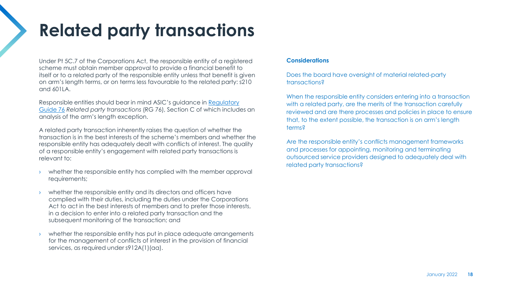## **Related party transactions**

Under Pt 5C.7 of the Corporations Act, the responsible entity of a registered scheme must obtain member approval to provide a financial benefit to itself or to a related party of the responsible entity unless that benefit is given on arm's length terms, or on terms less favourable to the related party: s210 and 601LA.

[Responsible entities should bear in mind ASIC's guidance in Regulatory](https://download.asic.gov.au/media/5705474/rg76-published-30-march-2011-20200727.pdf)  Guide 76 *Related party transactions* (RG 76), Section C of which includes an analysis of the arm's length exception.

A related party transaction inherently raises the question of whether the transaction is in the best interests of the scheme's members and whether the responsible entity has adequately dealt with conflicts of interest. The quality of a responsible entity's engagement with related party transactions is relevant to:

- whether the responsible entity has complied with the member approval requirements;
- whether the responsible entity and its directors and officers have complied with their duties, including the duties under the Corporations Act to act in the best interests of members and to prefer those interests, in a decision to enter into a related party transaction and the subsequent monitoring of the transaction; and
- whether the responsible entity has put in place adequate arrangements for the management of conflicts of interest in the provision of financial services, as required under s912A(1)(aa).

### **Considerations**

Does the board have oversight of material related-party transactions?

When the responsible entity considers entering into a transaction with a related party, are the merits of the transaction carefully reviewed and are there processes and policies in place to ensure that, to the extent possible, the transaction is on arm's length terms?

Are the responsible entity's conflicts management frameworks and processes for appointing, monitoring and terminating outsourced service providers designed to adequately deal with related party transactions?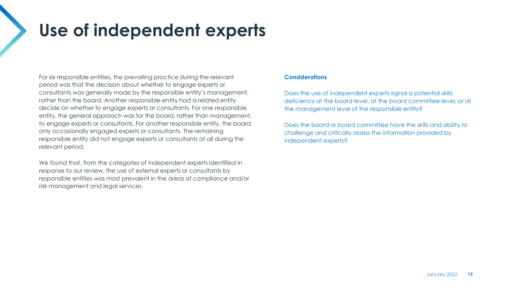## **Use of independent experts**

For six responsible entities, the prevailing practice during the relevant period was that the decision about whether to engage experts or consultants was generally made by the responsible entity's management, rather than the board. Another responsible entity had a related entity decide on whether to engage experts or consultants. For one responsible entity, the general approach was for the board, rather than management, to engage experts or consultants. For another responsible entity, the board only occasionally engaged experts or consultants. The remaining responsible entity did not engage experts or consultants at all during the relevant period.

We found that, from the categories of independent experts identified in response to our review, the use of external experts or consultants by responsible entities was most prevalent in the areas of compliance and/or risk management and legal services.

### **Considerations**

Does the use of independent experts signal a potential skills deficiency at the board level, at the board committee level, or at the management level of the responsible entity?

Does the board or board committee have the skills and ability to challenge and critically assess the information provided by independent experts?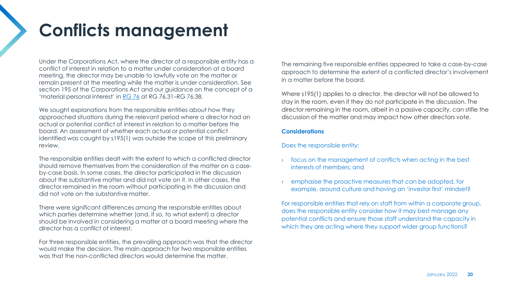## **Conflicts management**

Under the Corporations Act, where the director of a responsible entity has a conflict of interest in relation to a matter under consideration at a board meeting, the director may be unable to lawfully vote on the matter or remain present at the meeting while the matter is under consideration. See section 195 of the Corporations Act and our guidance on the concept of a 'material personal interest' in [RG 76](https://download.asic.gov.au/media/5705474/rg76-published-30-march-2011-20200727.pdf) at RG 76.31–RG 76.38.

We sought explanations from the responsible entities about how they approached situations during the relevant period where a director had an actual or potential conflict of interest in relation to a matter before the board. An assessment of whether each actual or potential conflict identified was caught by s195(1) was outside the scope of this preliminary review.

The responsible entities dealt with the extent to which a conflicted director should remove themselves from the consideration of the matter on a caseby-case basis. In some cases, the director participated in the discussion about the substantive matter and did not vote on it. In other cases, the director remained in the room without participating in the discussion and did not vote on the substantive matter.

There were significant differences among the responsible entities about which parties determine whether (and, if so, to what extent) a director should be involved in considering a matter at a board meeting where the director has a conflict of interest.

For three responsible entities, the prevailing approach was that the director would make the decision. The main approach for two responsible entities was that the non-conflicted directors would determine the matter.

The remaining five responsible entities appeared to take a case-by-case approach to determine the extent of a conflicted director's involvement in a matter before the board.

Where s195(1) applies to a director, the director will not be allowed to stay in the room, even if they do not participate in the discussion. The director remaining in the room, albeit in a passive capacity, can stifle the discussion of the matter and may impact how other directors vote.

### **Considerations**

Does the responsible entity:

- focus on the management of conflicts when acting in the best interests of members; and
- emphasise the proactive measures that can be adopted, for example, around culture and having an 'investor first' mindset?

For responsible entities that rely on staff from within a corporate group, does the responsible entity consider how it may best manage any potential conflicts and ensure those staff understand the capacity in which they are acting where they support wider group functions?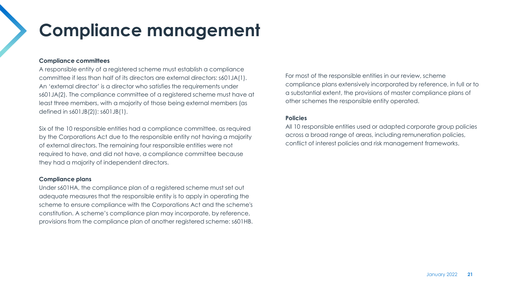## **Compliance management**

### **Compliance committees**

A responsible entity of a registered scheme must establish a compliance committee if less than half of its directors are external directors: s601JA(1). An 'external director' is a director who satisfies the requirements under s601JA(2). The compliance committee of a registered scheme must have at least three members, with a majority of those being external members (as defined in s601JB(2)): s601JB(1).

Six of the 10 responsible entities had a compliance committee, as required by the Corporations Act due to the responsible entity not having a majority of external directors. The remaining four responsible entities were not required to have, and did not have, a compliance committee because they had a majority of independent directors.

#### **Compliance plans**

Under s601HA, the compliance plan of a registered scheme must set out adequate measures that the responsible entity is to apply in operating the scheme to ensure compliance with the Corporations Act and the scheme's constitution. A scheme's compliance plan may incorporate, by reference, provisions from the compliance plan of another registered scheme: s601HB. For most of the responsible entities in our review, scheme compliance plans extensively incorporated by reference, in full or to a substantial extent, the provisions of master compliance plans of other schemes the responsible entity operated.

### **Policies**

All 10 responsible entities used or adapted corporate group policies across a broad range of areas, including remuneration policies, conflict of interest policies and risk management frameworks.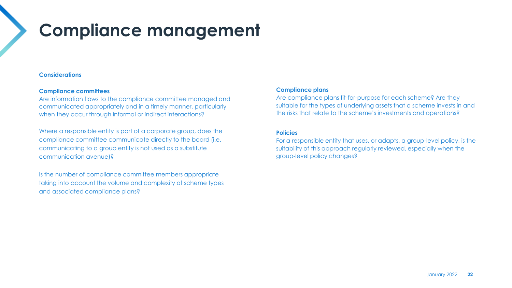## **Compliance management**

### **Considerations**

### **Compliance committees**

Are information flows to the compliance committee managed and communicated appropriately and in a timely manner, particularly when they occur through informal or indirect interactions?

Where a responsible entity is part of a corporate group, does the compliance committee communicate directly to the board (i.e. communicating to a group entity is not used as a substitute communication avenue)?

Is the number of compliance committee members appropriate taking into account the volume and complexity of scheme types and associated compliance plans?

### **Compliance plans**

Are compliance plans fit-for-purpose for each scheme? Are they suitable for the types of underlying assets that a scheme invests in and the risks that relate to the scheme's investments and operations?

### **Policies**

For a responsible entity that uses, or adapts, a group-level policy, is the suitability of this approach regularly reviewed, especially when the group-level policy changes?